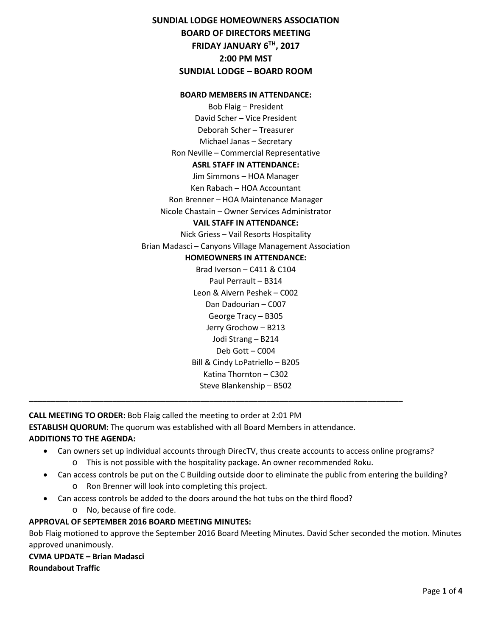**SUNDIAL LODGE HOMEOWNERS ASSOCIATION BOARD OF DIRECTORS MEETING FRIDAY JANUARY 6TH, 2017 2:00 PM MST SUNDIAL LODGE – BOARD ROOM**

#### **BOARD MEMBERS IN ATTENDANCE:**

Bob Flaig – President David Scher – Vice President Deborah Scher – Treasurer Michael Janas – Secretary Ron Neville – Commercial Representative **ASRL STAFF IN ATTENDANCE:** Jim Simmons – HOA Manager Ken Rabach – HOA Accountant Ron Brenner – HOA Maintenance Manager Nicole Chastain – Owner Services Administrator **VAIL STAFF IN ATTENDANCE:** Nick Griess – Vail Resorts Hospitality Brian Madasci – Canyons Village Management Association **HOMEOWNERS IN ATTENDANCE:** Brad Iverson – C411 & C104 Paul Perrault – B314 Leon & Aivern Peshek – C002 Dan Dadourian – C007 George Tracy – B305 Jerry Grochow – B213 Jodi Strang – B214 Deb Gott – C004 Bill & Cindy LoPatriello – B205 Katina Thornton – C302 Steve Blankenship – B502

**CALL MEETING TO ORDER:** Bob Flaig called the meeting to order at 2:01 PM **ESTABLISH QUORUM:** The quorum was established with all Board Members in attendance. **ADDITIONS TO THE AGENDA:** 

**\_\_\_\_\_\_\_\_\_\_\_\_\_\_\_\_\_\_\_\_\_\_\_\_\_\_\_\_\_\_\_\_\_\_\_\_\_\_\_\_\_\_\_\_\_\_\_\_\_\_\_\_\_\_\_\_\_\_\_\_\_\_\_\_\_\_\_\_\_\_\_\_\_\_\_\_\_\_\_\_\_\_\_\_\_**

- Can owners set up individual accounts through DirecTV, thus create accounts to access online programs? o This is not possible with the hospitality package. An owner recommended Roku.
	- Can access controls be put on the C Building outside door to eliminate the public from entering the building? o Ron Brenner will look into completing this project.
- Can access controls be added to the doors around the hot tubs on the third flood?
	- o No, because of fire code.

# **APPROVAL OF SEPTEMBER 2016 BOARD MEETING MINUTES:**

Bob Flaig motioned to approve the September 2016 Board Meeting Minutes. David Scher seconded the motion. Minutes approved unanimously.

**CVMA UPDATE – Brian Madasci Roundabout Traffic**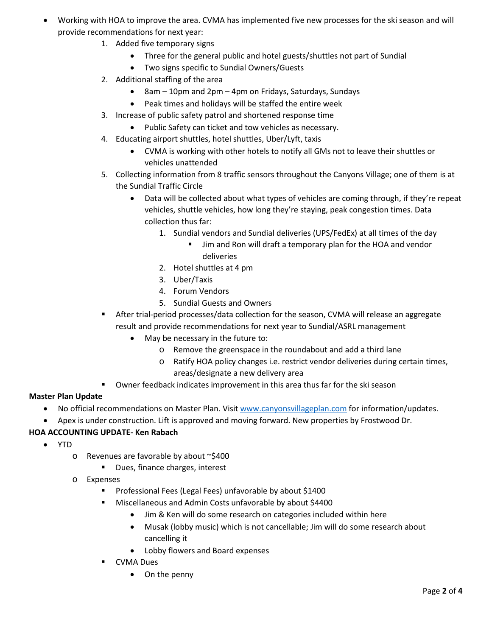- Working with HOA to improve the area. CVMA has implemented five new processes for the ski season and will provide recommendations for next year:
	- 1. Added five temporary signs
		- Three for the general public and hotel guests/shuttles not part of Sundial
		- Two signs specific to Sundial Owners/Guests
	- 2. Additional staffing of the area
		- 8am 10pm and 2pm 4pm on Fridays, Saturdays, Sundays
		- Peak times and holidays will be staffed the entire week
	- 3. Increase of public safety patrol and shortened response time
		- Public Safety can ticket and tow vehicles as necessary.
	- 4. Educating airport shuttles, hotel shuttles, Uber/Lyft, taxis
		- CVMA is working with other hotels to notify all GMs not to leave their shuttles or vehicles unattended
	- 5. Collecting information from 8 traffic sensors throughout the Canyons Village; one of them is at the Sundial Traffic Circle
		- Data will be collected about what types of vehicles are coming through, if they're repeat vehicles, shuttle vehicles, how long they're staying, peak congestion times. Data collection thus far:
			- 1. Sundial vendors and Sundial deliveries (UPS/FedEx) at all times of the day
				- Jim and Ron will draft a temporary plan for the HOA and vendor deliveries
			- 2. Hotel shuttles at 4 pm
			- 3. Uber/Taxis
			- 4. Forum Vendors
			- 5. Sundial Guests and Owners
	- After trial-period processes/data collection for the season, CVMA will release an aggregate result and provide recommendations for next year to Sundial/ASRL management
		- May be necessary in the future to:
			- o Remove the greenspace in the roundabout and add a third lane
			- o Ratify HOA policy changes i.e. restrict vendor deliveries during certain times, areas/designate a new delivery area
	- Owner feedback indicates improvement in this area thus far for the ski season

# **Master Plan Update**

- No official recommendations on Master Plan. Visit [www.canyonsvillageplan.com](http://www.canyonsvillageplan.com/) for information/updates.
- Apex is under construction. Lift is approved and moving forward. New properties by Frostwood Dr.

# **HOA ACCOUNTING UPDATE- Ken Rabach**

- YTD
	- o Revenues are favorable by about ~\$400
		- **Dues, finance charges, interest**
	- o Expenses
		- **Professional Fees (Legal Fees) unfavorable by about \$1400**
		- **Miscellaneous and Admin Costs unfavorable by about \$4400** 
			- Jim & Ken will do some research on categories included within here
			- Musak (lobby music) which is not cancellable; Jim will do some research about cancelling it
			- Lobby flowers and Board expenses
		- CVMA Dues
			- On the penny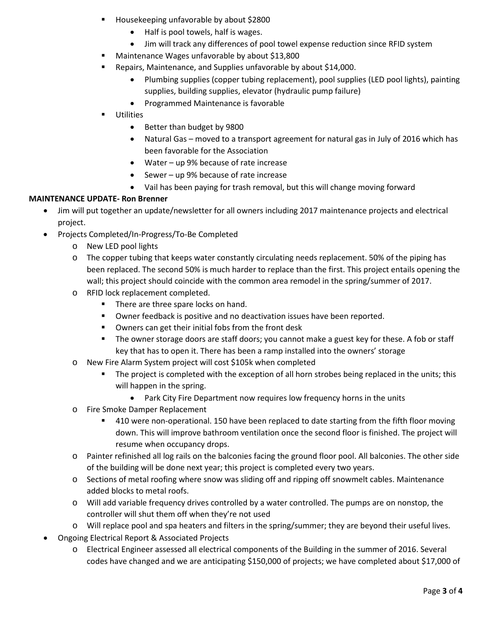- Housekeeping unfavorable by about \$2800
	- Half is pool towels, half is wages.
	- Jim will track any differences of pool towel expense reduction since RFID system
- **Maintenance Wages unfavorable by about \$13,800**
- **E** Repairs, Maintenance, and Supplies unfavorable by about \$14,000.
	- Plumbing supplies (copper tubing replacement), pool supplies (LED pool lights), painting supplies, building supplies, elevator (hydraulic pump failure)
	- Programmed Maintenance is favorable
- **Utilities** 
	- Better than budget by 9800
	- Natural Gas moved to a transport agreement for natural gas in July of 2016 which has been favorable for the Association
	- Water up 9% because of rate increase
	- Sewer up 9% because of rate increase
	- Vail has been paying for trash removal, but this will change moving forward

#### **MAINTENANCE UPDATE- Ron Brenner**

- Jim will put together an update/newsletter for all owners including 2017 maintenance projects and electrical project.
- Projects Completed/In-Progress/To-Be Completed
	- o New LED pool lights
	- o The copper tubing that keeps water constantly circulating needs replacement. 50% of the piping has been replaced. The second 50% is much harder to replace than the first. This project entails opening the wall; this project should coincide with the common area remodel in the spring/summer of 2017.
	- o RFID lock replacement completed.
		- There are three spare locks on hand.
		- Owner feedback is positive and no deactivation issues have been reported.
		- **•** Owners can get their initial fobs from the front desk
		- The owner storage doors are staff doors; you cannot make a guest key for these. A fob or staff key that has to open it. There has been a ramp installed into the owners' storage
	- o New Fire Alarm System project will cost \$105k when completed
		- **The project is completed with the exception of all horn strobes being replaced in the units; this** will happen in the spring.
			- Park City Fire Department now requires low frequency horns in the units
	- o Fire Smoke Damper Replacement
		- **410** were non-operational. 150 have been replaced to date starting from the fifth floor moving down. This will improve bathroom ventilation once the second floor is finished. The project will resume when occupancy drops.
	- o Painter refinished all log rails on the balconies facing the ground floor pool. All balconies. The other side of the building will be done next year; this project is completed every two years.
	- o Sections of metal roofing where snow was sliding off and ripping off snowmelt cables. Maintenance added blocks to metal roofs.
	- o Will add variable frequency drives controlled by a water controlled. The pumps are on nonstop, the controller will shut them off when they're not used
	- o Will replace pool and spa heaters and filters in the spring/summer; they are beyond their useful lives.
- Ongoing Electrical Report & Associated Projects
	- o Electrical Engineer assessed all electrical components of the Building in the summer of 2016. Several codes have changed and we are anticipating \$150,000 of projects; we have completed about \$17,000 of